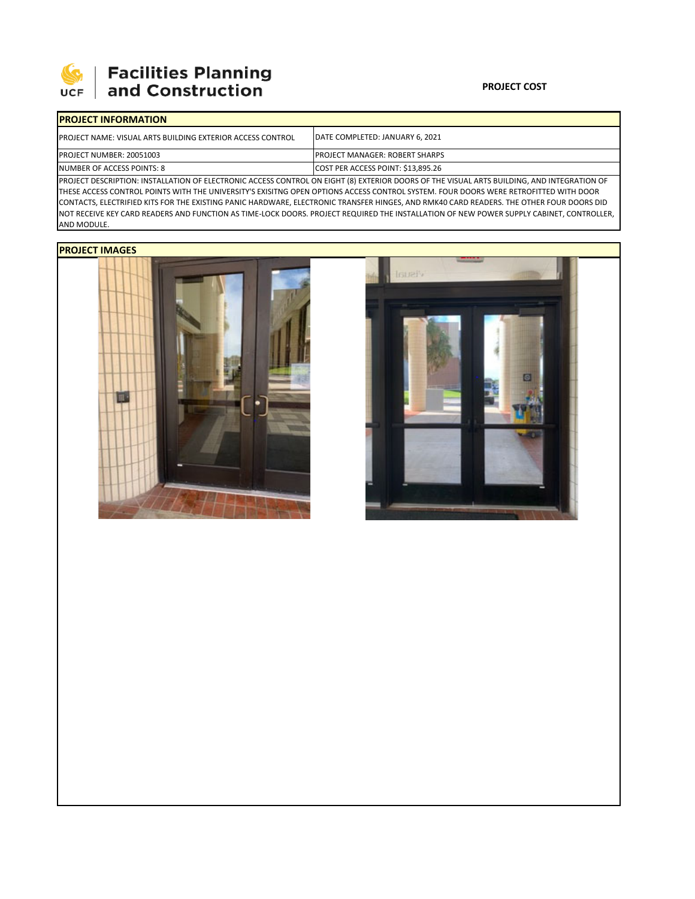

# **Facilities Planning<br>and Construction**

### **PROJECT COST**

| <b>IPROJECT INFORMATION</b>                                                                                                              |                                         |  |  |  |  |
|------------------------------------------------------------------------------------------------------------------------------------------|-----------------------------------------|--|--|--|--|
| <b>IPROJECT NAME: VISUAL ARTS BUILDING EXTERIOR ACCESS CONTROL</b>                                                                       | <b>IDATE COMPLETED: JANUARY 6. 2021</b> |  |  |  |  |
| PROJECT NUMBER: 20051003                                                                                                                 | <b>IPROJECT MANAGER: ROBERT SHARPS</b>  |  |  |  |  |
| NUMBER OF ACCESS POINTS: 8                                                                                                               | COST PER ACCESS POINT: \$13,895.26      |  |  |  |  |
| BROIECT BECONDEION, INCENIUATION OF FLECTRONIC ACCECE CONTROL ON FICUT (0) EVERNOR BOORS OF THE VICHAL ARTS BUILDING. AND INTECRATION OF |                                         |  |  |  |  |

PROJECT DESCRIPTION: INSTALLATION OF ELECTRONIC ACCESS CONTROL ON EIGHT (8) EXTERIOR DOORS OF THE VISUAL ARTS BUILDING, AND INTEGRATION OF THESE ACCESS CONTROL POINTS WITH THE UNIVERSITY'S EXISITNG OPEN OPTIONS ACCESS CONTROL SYSTEM. FOUR DOORS WERE RETROFITTED WITH DOOR CONTACTS, ELECTRIFIED KITS FOR THE EXISTING PANIC HARDWARE, ELECTRONIC TRANSFER HINGES, AND RMK40 CARD READERS. THE OTHER FOUR DOORS DID NOT RECEIVE KEY CARD READERS AND FUNCTION AS TIME‐LOCK DOORS. PROJECT REQUIRED THE INSTALLATION OF NEW POWER SUPPLY CABINET, CONTROLLER, AND MODULE.

## **PROJECT IMAGES**